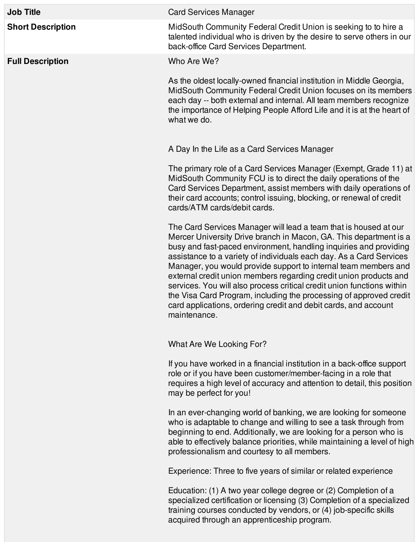| <b>Job Title</b>         | <b>Card Services Manager</b>                                                                                                                                                                                                                                                                                                                                                                                                                                                                                                                                                                                                                                 |
|--------------------------|--------------------------------------------------------------------------------------------------------------------------------------------------------------------------------------------------------------------------------------------------------------------------------------------------------------------------------------------------------------------------------------------------------------------------------------------------------------------------------------------------------------------------------------------------------------------------------------------------------------------------------------------------------------|
| <b>Short Description</b> | MidSouth Community Federal Credit Union is seeking to to hire a<br>talented individual who is driven by the desire to serve others in our<br>back-office Card Services Department.                                                                                                                                                                                                                                                                                                                                                                                                                                                                           |
| <b>Full Description</b>  | Who Are We?                                                                                                                                                                                                                                                                                                                                                                                                                                                                                                                                                                                                                                                  |
|                          | As the oldest locally-owned financial institution in Middle Georgia,<br>MidSouth Community Federal Credit Union focuses on its members<br>each day -- both external and internal. All team members recognize<br>the importance of Helping People Afford Life and it is at the heart of<br>what we do.                                                                                                                                                                                                                                                                                                                                                        |
|                          | A Day In the Life as a Card Services Manager                                                                                                                                                                                                                                                                                                                                                                                                                                                                                                                                                                                                                 |
|                          | The primary role of a Card Services Manager (Exempt, Grade 11) at<br>MidSouth Community FCU is to direct the daily operations of the<br>Card Services Department, assist members with daily operations of<br>their card accounts; control issuing, blocking, or renewal of credit<br>cards/ATM cards/debit cards.                                                                                                                                                                                                                                                                                                                                            |
|                          | The Card Services Manager will lead a team that is housed at our<br>Mercer University Drive branch in Macon, GA. This department is a<br>busy and fast-paced environment, handling inquiries and providing<br>assistance to a variety of individuals each day. As a Card Services<br>Manager, you would provide support to internal team members and<br>external credit union members regarding credit union products and<br>services. You will also process critical credit union functions within<br>the Visa Card Program, including the processing of approved credit<br>card applications, ordering credit and debit cards, and account<br>maintenance. |
|                          | What Are We Looking For?                                                                                                                                                                                                                                                                                                                                                                                                                                                                                                                                                                                                                                     |
|                          | If you have worked in a financial institution in a back-office support<br>role or if you have been customer/member-facing in a role that<br>requires a high level of accuracy and attention to detail, this position<br>may be perfect for you!                                                                                                                                                                                                                                                                                                                                                                                                              |
|                          | In an ever-changing world of banking, we are looking for someone<br>who is adaptable to change and willing to see a task through from<br>beginning to end. Additionally, we are looking for a person who is<br>able to effectively balance priorities, while maintaining a level of high<br>professionalism and courtesy to all members.                                                                                                                                                                                                                                                                                                                     |
|                          | Experience: Three to five years of similar or related experience                                                                                                                                                                                                                                                                                                                                                                                                                                                                                                                                                                                             |
|                          | Education: (1) A two year college degree or (2) Completion of a<br>specialized certification or licensing (3) Completion of a specialized<br>training courses conducted by vendors, or (4) job-specific skills                                                                                                                                                                                                                                                                                                                                                                                                                                               |

acquired through an apprenticeship program.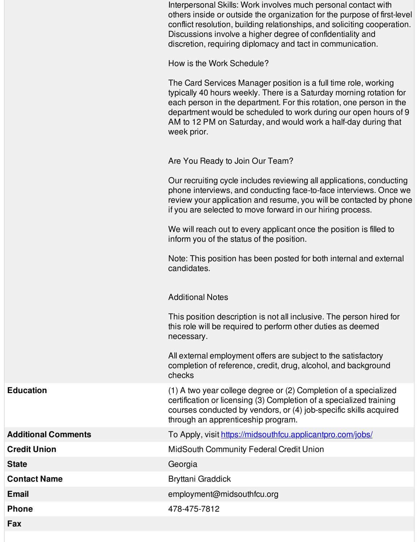|                            | Interpersonal Skills: Work involves much personal contact with<br>others inside or outside the organization for the purpose of first-level<br>conflict resolution, building relationships, and soliciting cooperation.<br>Discussions involve a higher degree of confidentiality and<br>discretion, requiring diplomacy and tact in communication.                 |
|----------------------------|--------------------------------------------------------------------------------------------------------------------------------------------------------------------------------------------------------------------------------------------------------------------------------------------------------------------------------------------------------------------|
|                            | How is the Work Schedule?                                                                                                                                                                                                                                                                                                                                          |
|                            | The Card Services Manager position is a full time role, working<br>typically 40 hours weekly. There is a Saturday morning rotation for<br>each person in the department. For this rotation, one person in the<br>department would be scheduled to work during our open hours of 9<br>AM to 12 PM on Saturday, and would work a half-day during that<br>week prior. |
|                            | Are You Ready to Join Our Team?                                                                                                                                                                                                                                                                                                                                    |
|                            | Our recruiting cycle includes reviewing all applications, conducting<br>phone interviews, and conducting face-to-face interviews. Once we<br>review your application and resume, you will be contacted by phone<br>if you are selected to move forward in our hiring process.                                                                                      |
|                            | We will reach out to every applicant once the position is filled to<br>inform you of the status of the position.                                                                                                                                                                                                                                                   |
|                            | Note: This position has been posted for both internal and external<br>candidates.                                                                                                                                                                                                                                                                                  |
|                            | <b>Additional Notes</b>                                                                                                                                                                                                                                                                                                                                            |
|                            | This position description is not all inclusive. The person hired for<br>this role will be required to perform other duties as deemed<br>necessary.                                                                                                                                                                                                                 |
|                            | All external employment offers are subject to the satisfactory<br>completion of reference, credit, drug, alcohol, and background<br>checks                                                                                                                                                                                                                         |
| <b>Education</b>           | (1) A two year college degree or (2) Completion of a specialized<br>certification or licensing (3) Completion of a specialized training<br>courses conducted by vendors, or (4) job-specific skills acquired<br>through an apprenticeship program.                                                                                                                 |
| <b>Additional Comments</b> | To Apply, visit https://midsouthfcu.applicantpro.com/jobs/                                                                                                                                                                                                                                                                                                         |
| <b>Credit Union</b>        | <b>MidSouth Community Federal Credit Union</b>                                                                                                                                                                                                                                                                                                                     |
| <b>State</b>               | Georgia                                                                                                                                                                                                                                                                                                                                                            |
| <b>Contact Name</b>        | Bryttani Graddick                                                                                                                                                                                                                                                                                                                                                  |
| <b>Email</b>               | employment@midsouthfcu.org                                                                                                                                                                                                                                                                                                                                         |
| <b>Phone</b>               | 478-475-7812                                                                                                                                                                                                                                                                                                                                                       |
|                            |                                                                                                                                                                                                                                                                                                                                                                    |

**Fax**